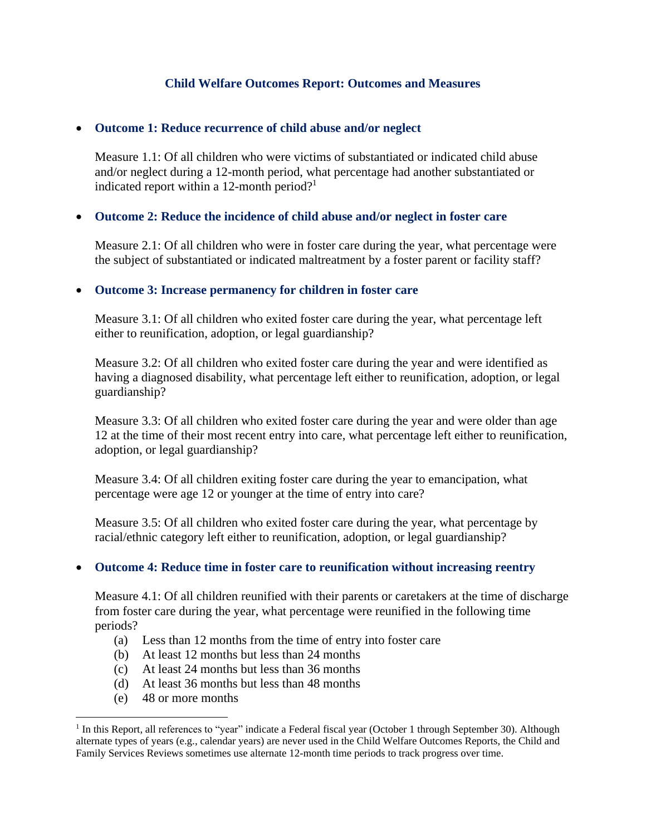## **Child Welfare Outcomes Report: Outcomes and Measures**

#### • **Outcome 1: Reduce recurrence of child abuse and/or neglect**

Measure 1.1: Of all children who were victims of substantiated or indicated child abuse and/or neglect during a 12-month period, what percentage had another substantiated or indicated report within a 12-month period?<sup>1</sup>

#### • **Outcome 2: Reduce the incidence of child abuse and/or neglect in foster care**

Measure 2.1: Of all children who were in foster care during the year, what percentage were the subject of substantiated or indicated maltreatment by a foster parent or facility staff?

#### • **Outcome 3: Increase permanency for children in foster care**

Measure 3.1: Of all children who exited foster care during the year, what percentage left either to reunification, adoption, or legal guardianship?

Measure 3.2: Of all children who exited foster care during the year and were identified as having a diagnosed disability, what percentage left either to reunification, adoption, or legal guardianship?

Measure 3.3: Of all children who exited foster care during the year and were older than age 12 at the time of their most recent entry into care, what percentage left either to reunification, adoption, or legal guardianship?

Measure 3.4: Of all children exiting foster care during the year to emancipation, what percentage were age 12 or younger at the time of entry into care?

Measure 3.5: Of all children who exited foster care during the year, what percentage by racial/ethnic category left either to reunification, adoption, or legal guardianship?

#### • **Outcome 4: Reduce time in foster care to reunification without increasing reentry**

Measure 4.1: Of all children reunified with their parents or caretakers at the time of discharge from foster care during the year, what percentage were reunified in the following time periods?

- (a) Less than 12 months from the time of entry into foster care
- (b) At least 12 months but less than 24 months
- (c) At least 24 months but less than 36 months
- (d) At least 36 months but less than 48 months
- (e) 48 or more months

<sup>&</sup>lt;sup>1</sup> In this Report, all references to "year" indicate a Federal fiscal year (October 1 through September 30). Although alternate types of years (e.g., calendar years) are never used in the Child Welfare Outcomes Reports, the Child and Family Services Reviews sometimes use alternate 12-month time periods to track progress over time.